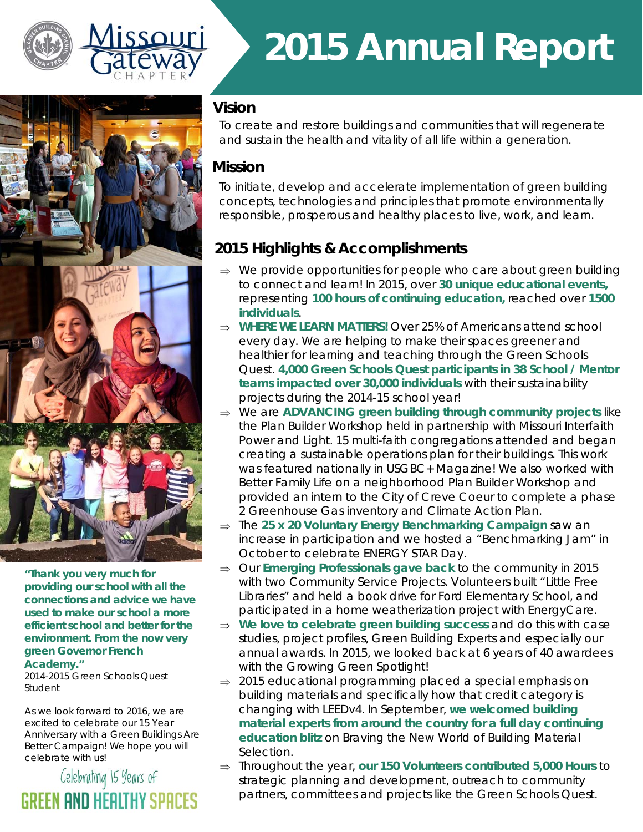



## *2015 Annual Report*

## **Vision**

To create and restore buildings and communities that will regenerate and sustain the health and vitality of all life within a generation.

## **Mission**

To initiate, develop and accelerate implementation of green building concepts, technologies and principles that promote environmentally responsible, prosperous and healthy places to live, work, and learn.

## **2015 Highlights & Accomplishments**

- $\Rightarrow$  We provide opportunities for people who care about green building to connect and learn! In 2015, over **30 unique educational events***,*  representing **100 hours of continuing education,** reached over **1500 individuals**.
- ⇒ WHERE WE LEARN MATTERS! Over 25% of Americans attend school every day. We are helping to make their spaces greener and healthier for learning and teaching through the Green Schools Quest. **4,000 Green Schools Quest participants in 38 School / Mentor teams impacted over 30,000 individuals** with their sustainability projects during the 2014-15 school year!
- We are **ADVANCING green building through community projects** like the Plan Builder Workshop held in partnership with Missouri Interfaith Power and Light. 15 multi-faith congregations attended and began creating a sustainable operations plan for their buildings. This work was featured nationally in USGBC+ Magazine! We also worked with Better Family Life on a neighborhood Plan Builder Workshop and provided an intern to the City of Creve Coeur to complete a phase 2 Greenhouse Gas inventory and Climate Action Plan.
- ⇒ The 25 x 20 Voluntary Energy Benchmarking Campaign saw an increase in participation and we hosted a "Benchmarking Jam" in October to celebrate ENERGY STAR Day.
- $\Rightarrow$  Our **Emerging Professionals gave back** to the community in 2015 with two Community Service Projects. Volunteers built "Little Free Libraries" and held a book drive for Ford Elementary School, and participated in a home weatherization project with EnergyCare.
- ⇒ We love to celebrate green building success and do this with case studies, project profiles, Green Building Experts and especially our annual awards. In 2015, we looked back at 6 years of 40 awardees with the Growing Green Spotlight!
- $\Rightarrow$  2015 educational programming placed a special emphasis on building materials and specifically how that credit category is changing with LEEDv4. In September, **we welcomed building material experts from around the country for a full day continuing education blitz** on *Braving the New World of Building Material Selection.*
- Throughout the year, **our 150 Volunteers contributed 5,000 Hours** to strategic planning and development, outreach to community partners, committees and projects like the Green Schools Quest.

**"Thank you very much for providing our school with all the connections and advice we have used to make our school a more efficient school and better for the environment. From the now very green Governor French** 

#### **Academy."**

*2014-2015 Green Schools Quest Student* 

As we look forward to 2016, we are excited to celebrate our 15 Year Anniversary with a Green Buildings Are Better Campaign! We hope you will celebrate with us!

## Celebrating 15 Years of GREEN AND HEALTHY SPACES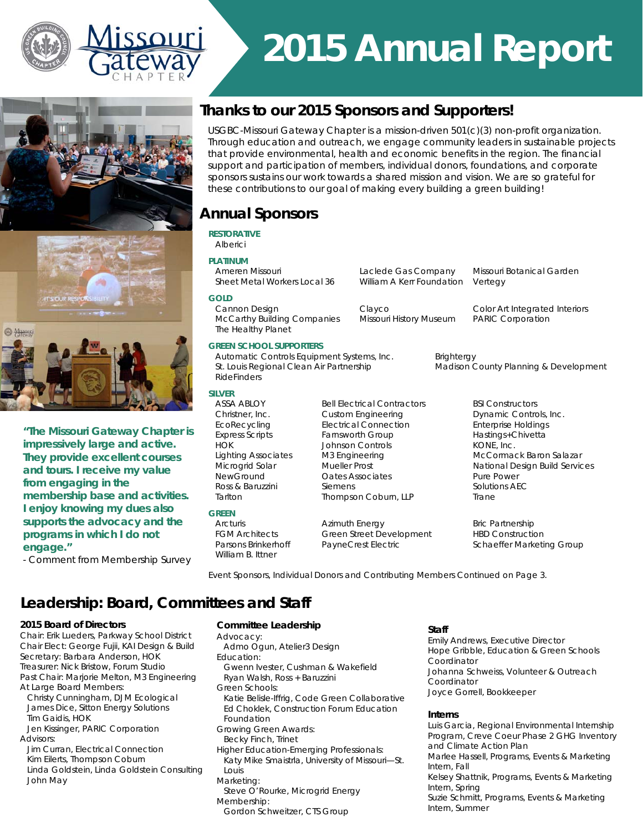

## *2015 Annual Report*







**"The Missouri Gateway Chapter is impressively large and active. They provide excellent courses and tours. I receive my value from engaging in the membership base and activities. I enjoy knowing my dues also supports the advocacy and the programs in which I do not engage."** 

*- Comment from Membership Survey* 

## **Thanks to our 2015 Sponsors and Supporters!**

USGBC-Missouri Gateway Chapter is a mission-driven 501(c)(3) non-profit organization. Through education and outreach, we engage community leaders in sustainable projects that provide environmental, health and economic benefits in the region. The financial support and participation of members, individual donors, foundations, and corporate sponsors sustains our work towards a shared mission and vision. We are so grateful for these contributions to our goal of making every building a green building!

## **Annual Sponsors**

 The Healthy Planet *GREEN SCHOOL SUPPORTERS* 

RideFinders

*SILVER* 

*GREEN* 

William B. Ittner

#### *RESTORATIVE*

*GOLD*

### Alberici

*PLATINUM* 

Laclede Gas Company Missouri Botanical Garden Sheet Metal Workers Local 36 William A Kerr Foundation Vertegy

McCarthy Building Companies Missouri History Museum PARIC Corporation

Cannon Design Clayco Color Art Integrated Interiors

Automatic Controls Equipment Systems, Inc. Brightergy St. Louis Regional Clean Air Partnership Madison County Planning & Development

ASSA ABLOY **Bell Electrical Contractors** BSI Constructors Christner, Inc. Custom Engineering Dynamic Controls, Inc. EcoRecycling Electrical Connection Enterprise Holdings Express Scripts Farnsworth Group Farnsworth Hastings+Chivetta HOK Johnson Controls **KONE**, Inc. Lighting Associates M3 Engineering McCormack Baron Salazar Oates Associates **Pure Power**<br>
Semens<br>
Solutions AFC Ross & Baruzzini Siemens Tarlton Thompson Coburn, LLP Trane

Arcturis **Azimuth Energy Bric Partnership** FGM Architects Green Street Development HBD Construction

Microgrid Solar Mueller Prost National Design Build Services<br>
New Ground Cates Associates<br>
New Ground Cates Associates<br>
New Crown Pure Power

Parsons Brinkerhoff PayneCrest Electric Schaeffer Marketing Group

*Event Sponsors, Individual Donors and Contributing Members Continued on Page 3.* 

## **Leadership: Board, Committees and Staff**

#### *2015 Board of Directors*

Chair: Erik Lueders, Parkway School District Chair Elect: George Fujii, KAI Design & Build Secretary: Barbara Anderson, HOK Treasurer: Nick Bristow, Forum Studio Past Chair: Marjorie Melton, M3 Engineering At Large Board Members:

 Christy Cunningham, DJM Ecological James Dice, Sitton Energy Solutions Tim Gaidis, HOK

 Jen Kissinger, PARIC Corporation Advisors:

 Jim Curran, Electrical Connection Kim Eilerts, Thompson Coburn Linda Goldstein, Linda Goldstein Consulting John May

#### *Committee Leadership*

Advocacy: Admo Ogun, Atelier3 Design Education: Gwenn Ivester, Cushman & Wakefield Ryan Walsh, Ross + Baruzzini Green Schools: Katie Belisle-Iffrig, Code Green Collaborative Ed Choklek, Construction Forum Education Foundation Growing Green Awards: Becky Finch, Trinet Higher Education-Emerging Professionals: Katy Mike Smaistrla, University of Missouri—St. Louis Marketing: Steve O'Rourke, Microgrid Energy Membership: Gordon Schweitzer, CTS Group

#### *Staff*

Emily Andrews, Executive Director Hope Gribble, Education & Green Schools **Coordinator** Johanna Schweiss, Volunteer & Outreach Coordinator Joyce Gorrell, Bookkeeper

#### *Interns*

Luis Garcia, Regional Environmental Internship Program, Creve Coeur Phase 2 GHG Inventory and Climate Action Plan Marlee Hassell, Programs, Events & Marketing Intern, Fall Kelsey Shattnik, Programs, Events & Marketing Intern, Spring Suzie Schmitt, Programs, Events & Marketing Intern, Summer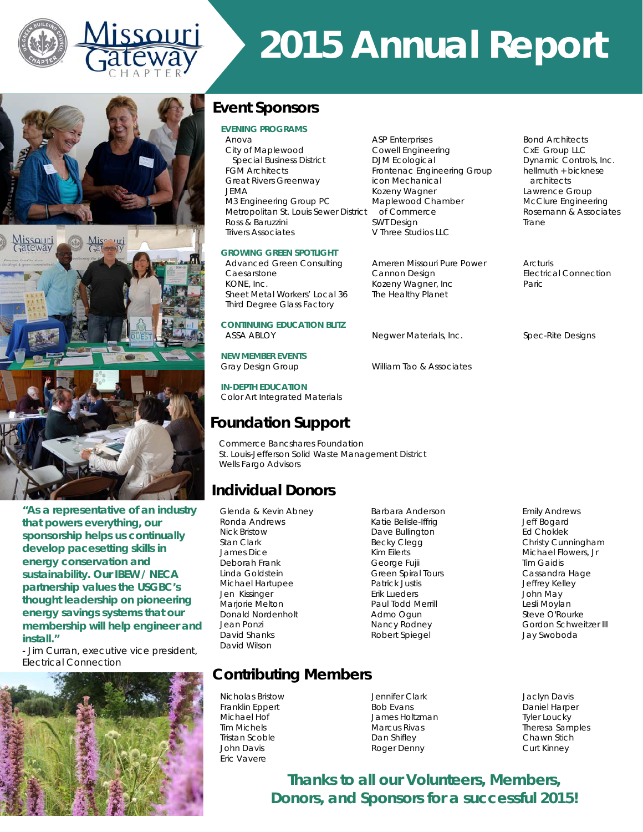

# *2015 Annual Report*



SSOUITI

**"As a representative of an industry that powers everything, our sponsorship helps us continually develop pacesetting skills in energy conservation and sustainability. Our IBEW / NECA partnership values the USGBC's thought leadership on pioneering energy savings systems that our membership will help engineer and install."** 

*- Jim Curran, executive vice president, Electrical Connection* 



## **Event Sponsors**

#### *EVENING PROGRAMS*

Anova Communication ASP Enterprises<br>City of Maplewood Cowell Engineering Communication CxE Group LLC City of Maplewood Special Business District **DJM Ecological** Designation Dynamic Controls, Inc.<br>
GM Architects **Dynamic Controls** Frontenac Engineering Group bellmuth + bicknese FGM Architects Frontenac Engineering Group Great Rivers Greenway icon Mechanical architects JEMA Kozeny Wagner Lawrence Group M3 Engineering Group PC Maplewood Chamber McClure Engineering Metropolitan St. Louis Sewer District of Commerce Rosemann & Associates Ross & Baruzzini **SWT Design Tranelly SWT Design Contact SWT Design Contact A** Trivers Associates V Three Studios LLC

#### **GROWING GREEN SPOTLIGHT**

**Advanced Green Consulting Ameren Missouri Pure Power Arcturis<br>Cannon Desian Cannon Desian Cannon Desian** Caesarstone Cannon Design<br>
Cannon Design<br>
Connection<br>
Connection<br>
Connection<br>
Connection<br>
Connection<br>
Connection<br>
Connection<br>
Connection<br>
Connection<br>
Connection<br>
Connection<br>
Connection<br>
Connection<br>
Connection<br>
Connection<br> Sheet Metal Workers' Local 36 Third Degree Glass Factory

*CONTINUING EDUCATION BLITZ*  ASSA ABLOY Negwer Materials, Inc. Spec-Rite Designs

*NEW MEMBER EVENTS* 

Gray Design Group William Tao & Associates

*IN-DEPTH EDUCATION*  Color Art Integrated Materials

## **Foundation Support**

Commerce Bancshares Foundation St. Louis-Jefferson Solid Waste Management District Wells Fargo Advisors

## **Individual Donors**

Glenda & Kevin Abney Barbara Anderson Emily Andrews Ronda Andrews **The Contract Contract Contract Andrews** Katie Belisle-Iffrig **State Bogard** Nick Bristow **Dave Bullington** Ed Choklek<br>Stan Clark Becky Clegg Becky Clegg (Christy Cun James Dice Kim Eilerts Michael Flowers, Jr Deborah Frank **George Fujii Tim Gaidis** Tim Gaidis Linda Goldstein Green Spiral Tours Cassandra Hage Michael Hartupee **Patrick Justis Communist Constructs** Jeffrey Kelley Jen Kissinger Erik Lueders John May Marjorie Melton **Paul Todd Merrill Communist Communist Communist Communist Communist Communist Communist Communist Communist Communist Communist Communist Communist Communist Communist Communist Communist Communist Communi** Donald Nordenholt Admo Ogun Steve O'Rourke David Shanks **Robert Spiegel Manual Shanks** Jay Swoboda David Wilson

Kozeny Wagner, Inc.<br>The Healthy Planet

## **Contributing Members**

Nicholas Bristow Jennifer Clark Jaclyn Davis Eric Vavere

Franklin Eppert Bob Evans Daniel Harper Michael Hof James Holtzman Tyler Loucky Tristan Scoble **Chawn Stich** Dan Shifley **Chawn Stich** Chawn Stich John Davis **Example 2018** Roger Denny Curt Kinney

Becky Clegg **Christy Cunningham** Jean Ponzi Nancy Rodney Gordon Schweitzer III

Theresa Samples

*Thanks to all our Volunteers, Members, Donors, and Sponsors for a successful 2015!*